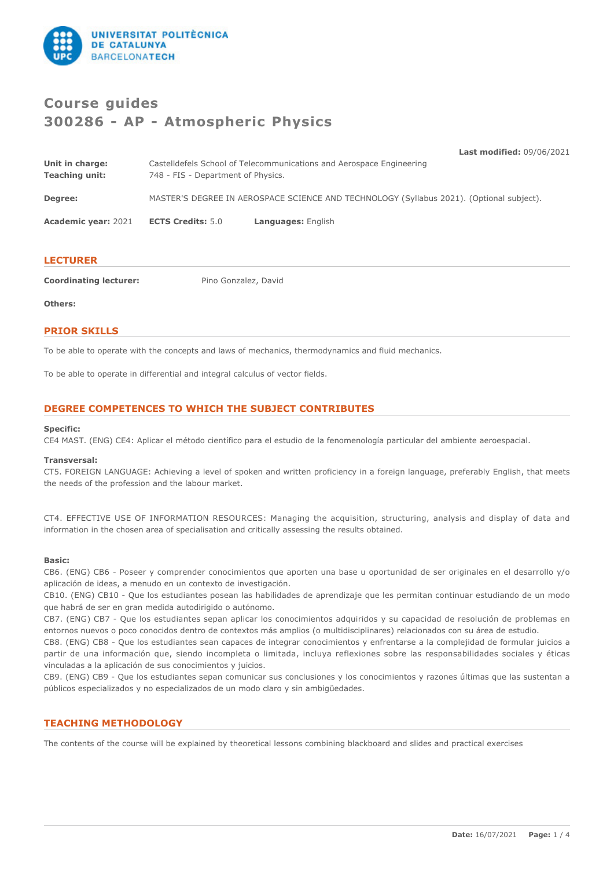

# **Course guides 300286 - AP - Atmospheric Physics**

**Last modified:** 09/06/2021

| Unit in charge:       | Castelldefels School of Telecommunications and Aerospace Engineering                     |
|-----------------------|------------------------------------------------------------------------------------------|
| <b>Teaching unit:</b> | 748 - FIS - Department of Physics.                                                       |
| Degree:               | MASTER'S DEGREE IN AEROSPACE SCIENCE AND TECHNOLOGY (Syllabus 2021). (Optional subject). |

**Academic year:** 2021 **ECTS Credits:** 5.0 **Languages:** English

# **LECTURER**

**Coordinating lecturer:** Pino Gonzalez, David

### **Others:**

# **PRIOR SKILLS**

To be able to operate with the concepts and laws of mechanics, thermodynamics and fluid mechanics.

To be able to operate in differential and integral calculus of vector fields.

# **DEGREE COMPETENCES TO WHICH THE SUBJECT CONTRIBUTES**

### **Specific:**

CE4 MAST. (ENG) CE4: Aplicar el método científico para el estudio de la fenomenología particular del ambiente aeroespacial.

### **Transversal:**

CT5. FOREIGN LANGUAGE: Achieving a level of spoken and written proficiency in a foreign language, preferably English, that meets the needs of the profession and the labour market.

CT4. EFFECTIVE USE OF INFORMATION RESOURCES: Managing the acquisition, structuring, analysis and display of data and information in the chosen area of specialisation and critically assessing the results obtained.

# **Basic:**

CB6. (ENG) CB6 - Poseer y comprender conocimientos que aporten una base u oportunidad de ser originales en el desarrollo y/o aplicación de ideas, a menudo en un contexto de investigación.

CB10. (ENG) CB10 - Que los estudiantes posean las habilidades de aprendizaje que les permitan continuar estudiando de un modo que habrá de ser en gran medida autodirigido o autónomo.

CB7. (ENG) CB7 - Que los estudiantes sepan aplicar los conocimientos adquiridos y su capacidad de resolución de problemas en entornos nuevos o poco conocidos dentro de contextos más amplios (o multidisciplinares) relacionados con su área de estudio.

CB8. (ENG) CB8 - Que los estudiantes sean capaces de integrar conocimientos y enfrentarse a la complejidad de formular juicios a partir de una información que, siendo incompleta o limitada, incluya reflexiones sobre las responsabilidades sociales y éticas vinculadas a la aplicación de sus conocimientos y juicios.

CB9. (ENG) CB9 - Que los estudiantes sepan comunicar sus conclusiones y los conocimientos y razones últimas que las sustentan a públicos especializados y no especializados de un modo claro y sin ambigüedades.

# **TEACHING METHODOLOGY**

The contents of the course will be explained by theoretical lessons combining blackboard and slides and practical exercises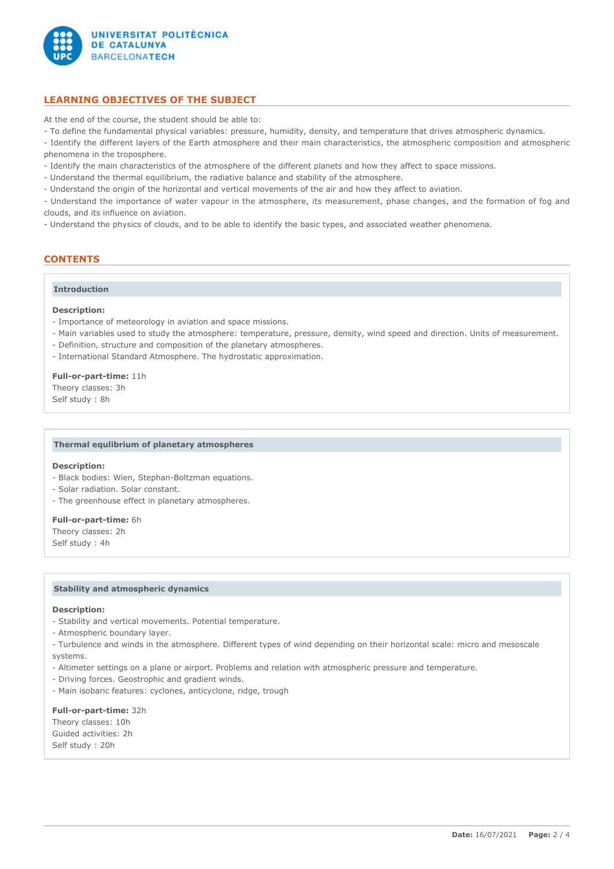

# **LEARNING OBJECTIVES OF THE SUBJECT**

At the end of the course, the student should be able to:

- To define the fundamental physical variables: pressure, humidity, density, and temperature that drives atmospheric dynamics.

- Identify the different layers of the Earth atmosphere and their main characteristics, the atmospheric composition and atmospheric phenomena in the troposphere.

- Identify the main characteristics of the atmosphere of the different planets and how they affect to space missions.

- Understand the thermal equilibrium, the radiative balance and stability of the atmosphere.

- Understand the origin of the horizontal and vertical movements of the air and how they affect to aviation.

- Understand the importance of water vapour in the atmosphere, its measurement, phase changes, and the formation of fog and clouds, and its influence on aviation.

- Understand the physics of clouds, and to be able to identify the basic types, and associated weather phenomena.

# **CONTENTS**

# **Introduction**

# **Description:**

- Importance of meteorology in aviation and space missions.
- Main variables used to study the atmosphere: temperature, pressure, density, wind speed and direction. Units of measurement.
- Definition, structure and composition of the planetary atmospheres.
- International Standard Atmosphere. The hydrostatic approximation.

#### **Full-or-part-time:** 11h

Theory classes: 3h Self study : 8h

### **Thermal equlibrium of planetary atmospheres**

#### **Description:**

- Black bodies: Wien, Stephan-Boltzman equations.
- Solar radiation. Solar constant.
- The greenhouse effect in planetary atmospheres.

#### **Full-or-part-time:** 6h

Theory classes: 2h Self study : 4h

#### **Stability and atmospheric dynamics**

#### **Description:**

- Stability and vertical movements. Potential temperature.
- Atmospheric boundary layer.
- Turbulence and winds in the atmosphere. Different types of wind depending on their horizontal scale: micro and mesoscale systems.
- Altimeter settings on a plane or airport. Problems and relation with atmospheric pressure and temperature.
- Driving forces. Geostrophic and gradient winds.
- Main isobaric features: cyclones, anticyclone, ridge, trough

# **Full-or-part-time:** 32h Theory classes: 10h Guided activities: 2h Self study : 20h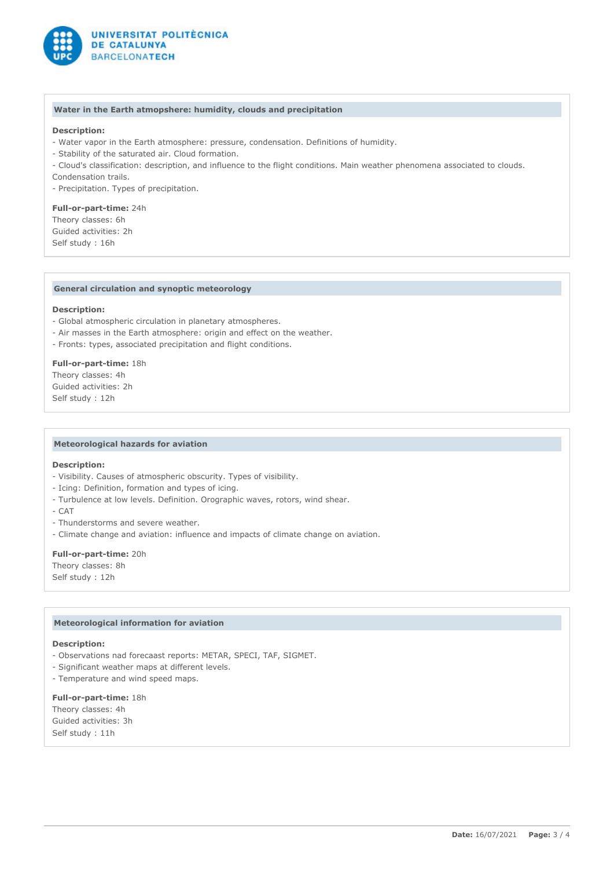

### **Water in the Earth atmopshere: humidity, clouds and precipitation**

# **Description:**

- Water vapor in the Earth atmosphere: pressure, condensation. Definitions of humidity.
- Stability of the saturated air. Cloud formation.
- Cloud's classification: description, and influence to the flight conditions. Main weather phenomena associated to clouds.
- Condensation trails.
- Precipitation. Types of precipitation.

**Full-or-part-time:** 24h Theory classes: 6h Guided activities: 2h Self study : 16h

### **General circulation and synoptic meteorology**

# **Description:**

- Global atmospheric circulation in planetary atmospheres.
- Air masses in the Earth atmosphere: origin and effect on the weather.
- Fronts: types, associated precipitation and flight conditions.

#### **Full-or-part-time:** 18h

Theory classes: 4h Guided activities: 2h Self study : 12h

#### **Meteorological hazards for aviation**

# **Description:**

- Visibility. Causes of atmospheric obscurity. Types of visibility.
- Icing: Definition, formation and types of icing.
- Turbulence at low levels. Definition. Orographic waves, rotors, wind shear.
- CAT
- Thunderstorms and severe weather.
- Climate change and aviation: influence and impacts of climate change on aviation.

#### **Full-or-part-time:** 20h

Theory classes: 8h Self study : 12h

### **Meteorological information for aviation**

#### **Description:**

- Observations nad forecaast reports: METAR, SPECI, TAF, SIGMET.
- Significant weather maps at different levels.
- Temperature and wind speed maps.

**Full-or-part-time:** 18h Theory classes: 4h Guided activities: 3h Self study : 11h